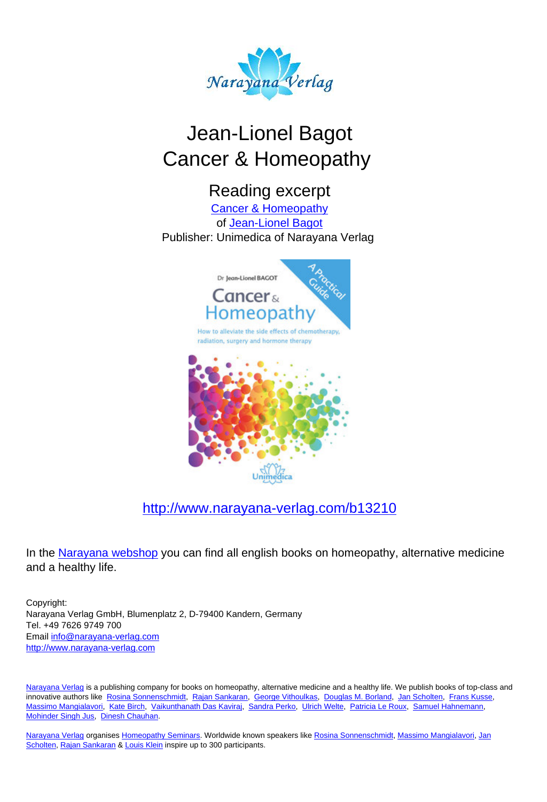

# Jean-Lionel Bagot Cancer & Homeopathy

# Reading excerpt

[Cancer & Homeopathy](http://www.narayana-verlag.com/Cancer-Homeopathy-Jean-Lionel-Bagot/b13210/partner/leseprobe) of [Jean-Lionel Bagot](http://www.narayana-verlag.com/Jean-Lionel-Bagot/a4092/partner/leseprobe) Publisher: Unimedica of Narayana Verlag



#### [http://www.narayana-verlag.com/b13210](http://www.narayana-verlag.com/Cancer-Homeopathy-Jean-Lionel-Bagot/b13210/partner/leseprobe)

In the [Narayana webshop](http://www.narayana-verlag.com/partner/leseprobe) you can find all english books on homeopathy, alternative medicine and a healthy life.

Copyright: Narayana Verlag GmbH, Blumenplatz 2, D-79400 Kandern, Germany Tel. +49 7626 9749 700 Email [info@narayana-verlag.com](mailto:info@narayana-verlag.com) [http://www.narayana-verlag.com](http://www.narayana-verlag.com/partner/leseprobe)

[Narayana Verlag](http://www.narayana-verlag.com/partner/leseprobe) is a publishing company for books on homeopathy, alternative medicine and a healthy life. We publish books of top-class and innovative authors like [Rosina Sonnenschmidt,](http://www.narayana-verlag.com/Rosina-Sonnenschmidt/a835/partner/leseprobe) [Rajan Sankaran,](http://www.narayana-verlag.com/Rajan-Sankaran/a747/partner/leseprobe) [George Vithoulkas](http://www.narayana-verlag.com/George-Vithoulkas/a917/partner/leseprobe), [Douglas M. Borland,](http://www.narayana-verlag.com/Douglas-M-Borland/a86/partner/leseprobe) [Jan Scholten](http://www.narayana-verlag.com/Jan-Scholten/a777/partner/leseprobe), [Frans Kusse](http://www.narayana-verlag.com/Frans-Kusse/a1305/partner/leseprobe), [Massimo Mangialavori](http://www.narayana-verlag.com/Massimo-Mangialavori/a538/partner/leseprobe), [Kate Birch,](http://www.narayana-verlag.com/Kate-Birch/a1439/partner/leseprobe) [Vaikunthanath Das Kaviraj](http://www.narayana-verlag.com/Vaikunthanath-Das-Kaviraj/a1476/partner/leseprobe), [Sandra Perko](http://www.narayana-verlag.com/Sandra-Perko/a642/partner/leseprobe), [Ulrich Welte](http://www.narayana-verlag.com/Ulrich-Welte/a935/partner/leseprobe), [Patricia Le Roux](http://www.narayana-verlag.com/Patricia-Le-Roux/a1230/partner/leseprobe), [Samuel Hahnemann](http://www.narayana-verlag.com/Samuel-Hahnemann/a329/partner/leseprobe), [Mohinder Singh Jus](http://www.narayana-verlag.com/Mohinder-Singh-Jus/a417/partner/leseprobe), [Dinesh Chauhan](http://www.narayana-verlag.com/Dinesh-Chauhan/a123/partner/leseprobe).

[Narayana Verlag](http://www.narayana-verlag.com/partner/leseprobe) organises [Homeopathy Seminars.](http://www.narayana-verlag.com/Seminare/c162/partner/leseprobe) Worldwide known speakers like [Rosina Sonnenschmidt](http://www.narayana-verlag.com/Rosina-Sonnenschmidt/a835/partner/leseprobe), [Massimo Mangialavori](http://www.narayana-verlag.com/Massimo-Mangialavori/a538/partner/leseprobe), [Jan](http://www.narayana-verlag.com/Jan-Scholten/a777/partner/leseprobe) [Scholten,](http://www.narayana-verlag.com/Jan-Scholten/a777/partner/leseprobe) [Rajan Sankaran](http://www.narayana-verlag.com/Rajan-Sankaran/a747/partner/leseprobe) & [Louis Klein](http://www.narayana-verlag.com/Louis-Klein/a450/partner/leseprobe) inspire up to 300 participants.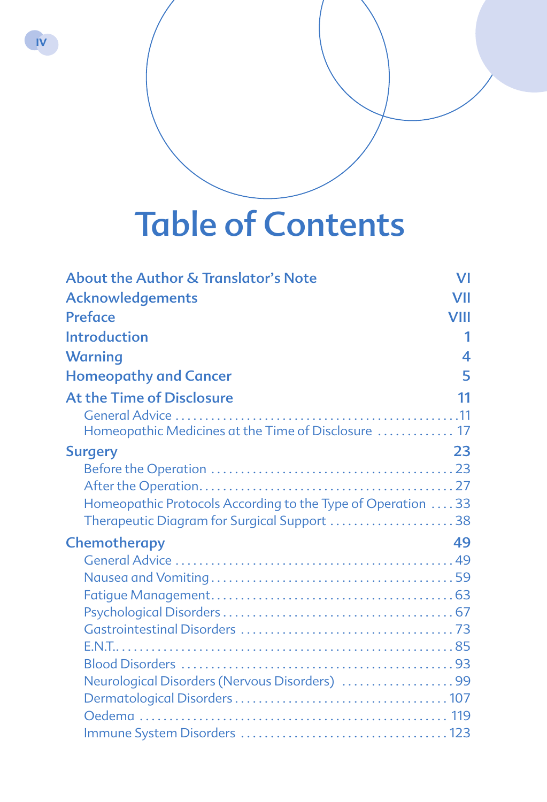# Table of Contents

**IV**

| <b>About the Author &amp; Translator's Note</b>              | VI               |
|--------------------------------------------------------------|------------------|
| <b>Acknowledgements</b>                                      | VII              |
| <b>Preface</b>                                               | VIII             |
| <b>Introduction</b>                                          | 1                |
| <b>Warning</b>                                               | $\boldsymbol{A}$ |
| <b>Homeopathy and Cancer</b>                                 | 5                |
| At the Time of Disclosure                                    | 11               |
|                                                              |                  |
| Homeopathic Medicines at the Time of Disclosure  17          |                  |
| <b>Surgery</b>                                               | 23               |
|                                                              |                  |
|                                                              |                  |
| Homeopathic Protocols According to the Type of Operation  33 |                  |
| Therapeutic Diagram for Surgical Support 38                  |                  |
| Chemotherapy                                                 | 49               |
|                                                              |                  |
|                                                              |                  |
|                                                              |                  |
|                                                              |                  |
|                                                              |                  |
|                                                              |                  |
|                                                              |                  |
| Neurological Disorders (Nervous Disorders) 99                |                  |
|                                                              |                  |
|                                                              |                  |
|                                                              |                  |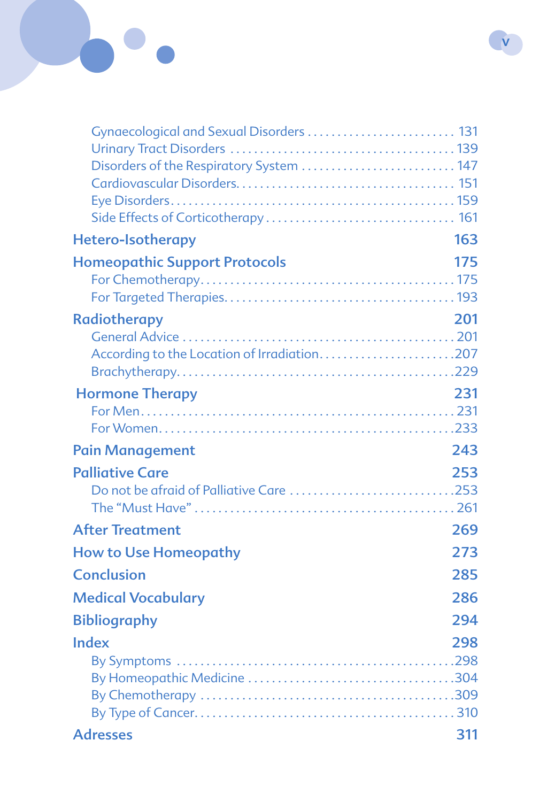# Gynaecological and Sexual Disorders . . . . . . . . . . . . . . . . . . . . . . . . . 131 Urinary Tract Disorders . . . . . . . . . . . . . . . . . . . . . . . . . . . . . . . . . . . . . . 139 Disorders of the Respiratory System ............................ 147 Cardiovascular Disorders . . . . . . . . . . . . . . . . . . . . . . . . . . . . . . . . . . . . . 151 Eye Disorders . . . . . . . . . . . . . . . . . . . . . . . . . . . . . . . . . . . . . . . . . . . . . . . . 159 Side Effects of Corticotherapy . . . . . . . . . . . . . . . . . . . . . . . . . . . . . . . . 161 Hetero-Isotherapy 163 **Homeopathic Support Protocols** 175 For Chemotherapy . . . . . . . . . . . . . . . . . . . . . . . . . . . . . . . . . . . . . . . . . . . 175 For Targeted Therapies . . . . . . . . . . . . . . . . . . . . . . . . . . . . . . . . . . . . . . . 193 Radiotherapy 201 General Advice . . . . . . . . . . . . . . . . . . . . . . . . . . . . . . . . . . . . . . . . . . . . . . 201 According to the Location of Irradiation...........................207 Brachytherapy . . . . . . . . . . . . . . . . . . . . . . . . . . . . . . . . . . . . . . . . . . . . . . 229 **Hormone Therapy 231** For Men . . . . . . . . . . . . . . . . . . . . . . . . . . . . . . . . . . . . . . . . . . . . . . . . . . . . . 231 For Women . . . . . . . . . . . . . . . . . . . . . . . . . . . . . . . . . . . . . . . . . . . . . . . . . 233 Pain Management 243 Palliative Care 253 Do not be afraid of Palliative Care . . . . . . . . . . . . . . . . . . . . . . . . . . . 253 The "Must Have" . . . . . . . . . . . . . . . . . . . . . . . . . . . . . . . . . . . . . . . . . . . . 261 After Treatment 269 How to Use Homeopathy 273 Conclusion 285 Medical Vocabulary 286 Bibliography 294 Index 298 By Symptoms . . . . . . . . . . . . . . . . . . . . . . . . . . . . . . . . . . . . . . . . . . . . . . 298 By Homeopathic Medicine . . . . . . . . . . . . . . . . . . . . . . . . . . . . . . . . . . 304 By Chemotherapy . . . . . . . . . . . . . . . . . . . . . . . . . . . . . . . . . . . . . . . . . . 309 By Type of Cancer . . . . . . . . . . . . . . . . . . . . . . . . . . . . . . . . . . . . . . . . . . . . 310 Adresses 311

**V**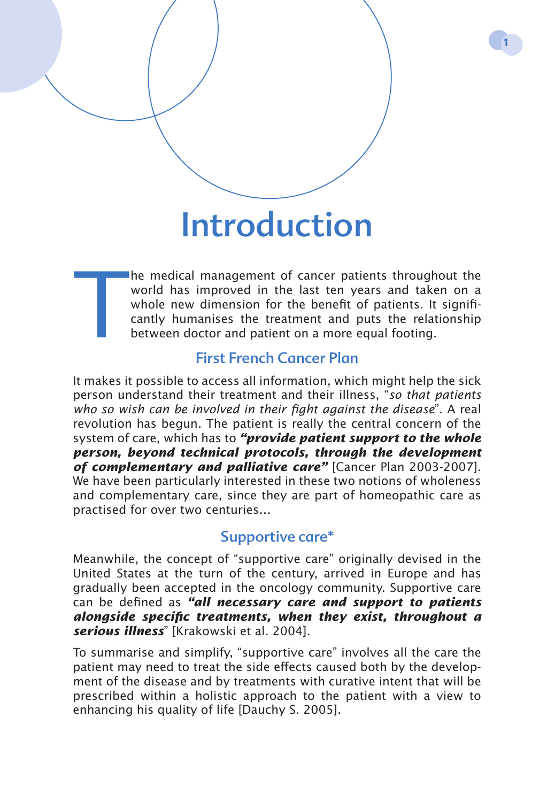# Introduction

The medical management of cancer patients throughout the world has improved in the last ten years and taken on a whole new dimension for the benefit of patients. It significantly humanises the treatment and puts the relati world has improved in the last ten years and taken on a whole new dimension for the benefit of patients. It significantly humanises the treatment and puts the relationship between doctor and patient on a more equal footing.

## First French Cancer Plan

It makes it possible to access all information, which might help the sick person understand their treatment and their illness, "*so that patients who so wish can be involved in their fight against the disease*". A real revolution has begun. The patient is really the central concern of the system of care, which has to *"provide patient support to the whole person, beyond technical protocols, through the development of complementary and palliative care"* [Cancer Plan 2003-2007]. We have been particularly interested in these two notions of wholeness and complementary care, since they are part of homeopathic care as practised for over two centuries…

#### Supportive care\*

Meanwhile, the concept of "supportive care" originally devised in the United States at the turn of the century, arrived in Europe and has gradually been accepted in the oncology community. Supportive care can be defined as *"all necessary care and support to patients alongside specific treatments, when they exist, throughout a serious illness*" [Krakowski et al. 2004].

To summarise and simplify, "supportive care" involves all the care the patient may need to treat the side effects caused both by the development of the disease and by treatments with curative intent that will be prescribed within a holistic approach to the patient with a view to enhancing his quality of life [Dauchy S. 2005].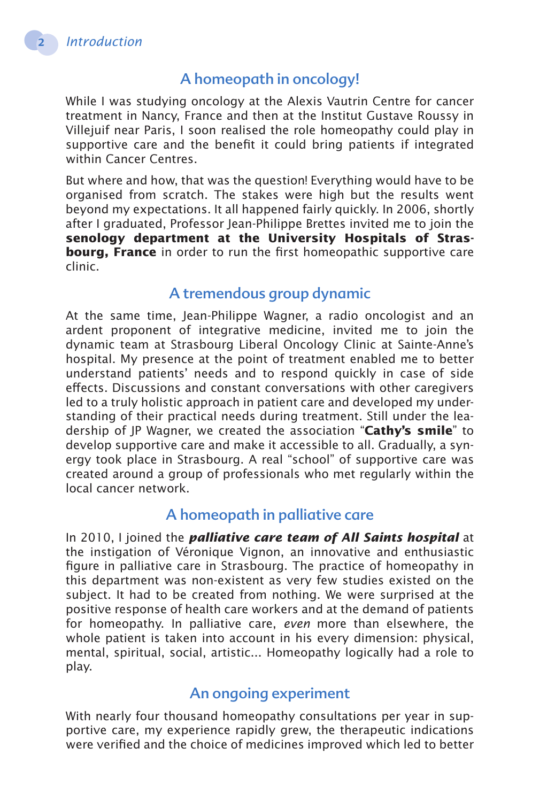## A homeopath in oncology!

While I was studying oncology at the Alexis Vautrin Centre for cancer treatment in Nancy, France and then at the Institut Gustave Roussy in Villejuif near Paris, I soon realised the role homeopathy could play in supportive care and the benefit it could bring patients if integrated within Cancer Centres.

But where and how, that was the question! Everything would have to be organised from scratch. The stakes were high but the results went beyond my expectations. It all happened fairly quickly. In 2006, shortly after I graduated, Professor Jean-Philippe Brettes invited me to join the **senology department at the University Hospitals of Strasbourg, France** in order to run the first homeopathic supportive care clinic.

### A tremendous group dynamic

At the same time, Jean-Philippe Wagner, a radio oncologist and an ardent proponent of integrative medicine, invited me to join the dynamic team at Strasbourg Liberal Oncology Clinic at Sainte-Anne's hospital. My presence at the point of treatment enabled me to better understand patients' needs and to respond quickly in case of side effects. Discussions and constant conversations with other caregivers led to a truly holistic approach in patient care and developed my understanding of their practical needs during treatment. Still under the leadership of JP Wagner, we created the association "**Cathy's smile**" to develop supportive care and make it accessible to all. Gradually, a synergy took place in Strasbourg. A real "school" of supportive care was created around a group of professionals who met regularly within the local cancer network.

#### A homeopath in palliative care

In 2010, I joined the *palliative care team of All Saints hospital* at the instigation of Véronique Vignon, an innovative and enthusiastic figure in palliative care in Strasbourg. The practice of homeopathy in this department was non-existent as very few studies existed on the subject. It had to be created from nothing. We were surprised at the positive response of health care workers and at the demand of patients for homeopathy. In palliative care, *even* more than elsewhere, the whole patient is taken into account in his every dimension: physical, mental, spiritual, social, artistic... Homeopathy logically had a role to play.

#### An ongoing experiment

With nearly four thousand homeopathy consultations per year in supportive care, my experience rapidly grew, the therapeutic indications were verified and the choice of medicines improved which led to better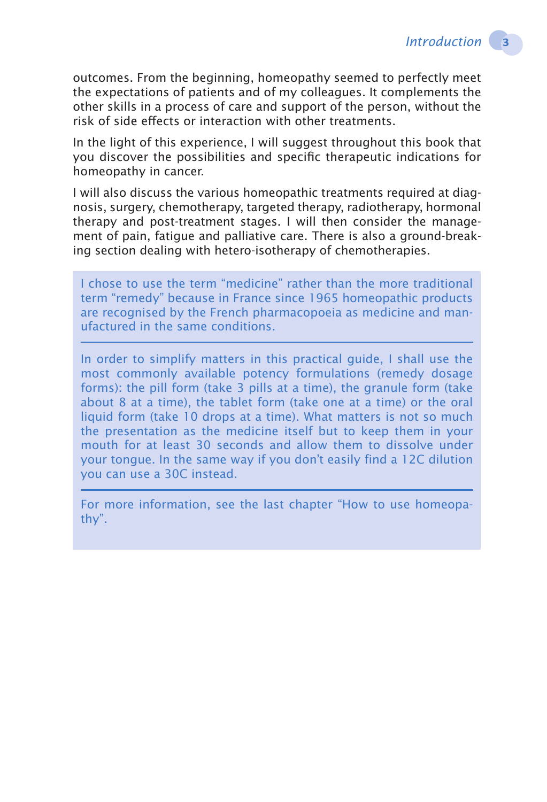outcomes. From the beginning, homeopathy seemed to perfectly meet the expectations of patients and of my colleagues. It complements the other skills in a process of care and support of the person, without the risk of side effects or interaction with other treatments.

In the light of this experience, I will suggest throughout this book that you discover the possibilities and specific therapeutic indications for homeopathy in cancer.

I will also discuss the various homeopathic treatments required at diagnosis, surgery, chemotherapy, targeted therapy, radiotherapy, hormonal therapy and post-treatment stages. I will then consider the management of pain, fatigue and palliative care. There is also a ground-breaking section dealing with hetero-isotherapy of chemotherapies.

I chose to use the term "medicine" rather than the more traditional term "remedy" because in France since 1965 homeopathic products are recognised by the French pharmacopoeia as medicine and manufactured in the same conditions.

In order to simplify matters in this practical guide, I shall use the most commonly available potency formulations (remedy dosage forms): the pill form (take 3 pills at a time), the granule form (take about 8 at a time), the tablet form (take one at a time) or the oral liquid form (take 10 drops at a time). What matters is not so much the presentation as the medicine itself but to keep them in your mouth for at least 30 seconds and allow them to dissolve under your tongue. In the same way if you don't easily find a 12C dilution you can use a 30C instead.

For more information, see the last chapter "How to use homeopathy".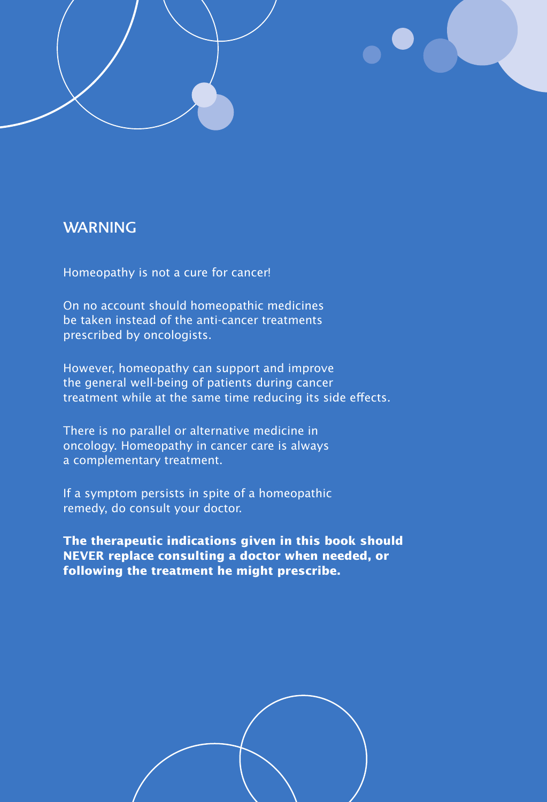#### **WARNING**

**4** *WARNING* 

Homeopathy is not a cure for cancer!

On no account should homeopathic medicines be taken instead of the anti-cancer treatments prescribed by oncologists.

However, homeopathy can support and improve the general well-being of patients during cancer treatment while at the same time reducing its side effects.

There is no parallel or alternative medicine in oncology. Homeopathy in cancer care is always a complementary treatment.

If a symptom persists in spite of a homeopathic remedy, do consult your doctor.

**The therapeutic indications given in this book should NEVER replace consulting a doctor when needed, or following the treatment he might prescribe.**

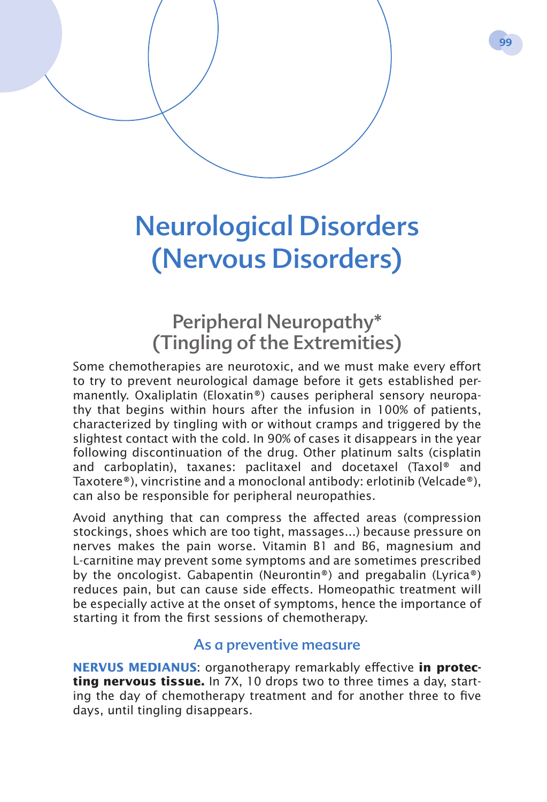# Neurological Disorders (Nervous Disorders)

# Peripheral Neuropathy\* (Tingling of the Extremities)

Some chemotherapies are neurotoxic, and we must make every effort to try to prevent neurological damage before it gets established permanently. Oxaliplatin (Eloxatin®) causes peripheral sensory neuropathy that begins within hours after the infusion in 100% of patients, characterized by tingling with or without cramps and triggered by the slightest contact with the cold. In 90% of cases it disappears in the year following discontinuation of the drug. Other platinum salts (cisplatin and carboplatin), taxanes: paclitaxel and docetaxel (Taxol® and Taxotere®), vincristine and a monoclonal antibody: erlotinib (Velcade®), can also be responsible for peripheral neuropathies.

Avoid anything that can compress the affected areas (compression stockings, shoes which are too tight, massages...) because pressure on nerves makes the pain worse. Vitamin B1 and B6, magnesium and L-carnitine may prevent some symptoms and are sometimes prescribed by the oncologist. Gabapentin (Neurontin®) and pregabalin (Lyrica®) reduces pain, but can cause side effects. Homeopathic treatment will be especially active at the onset of symptoms, hence the importance of starting it from the first sessions of chemotherapy.

#### As a preventive measure

**NERVUS MEDIANUS:** organotherapy remarkably effective in protec**ting nervous tissue.** In 7X, 10 drops two to three times a day, starting the day of chemotherapy treatment and for another three to five days, until tingling disappears.

**99**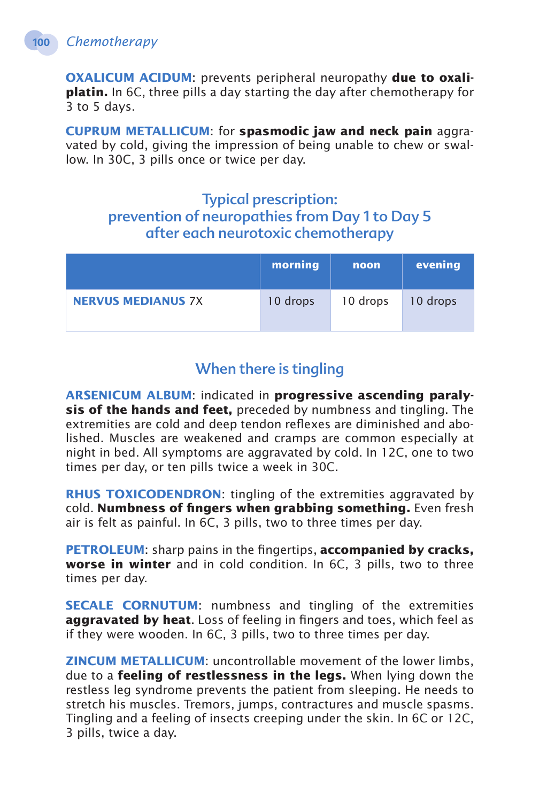**OXALICUM ACIDUM:** prevents peripheral neuropathy due to oxali**platin.** In 6C, three pills a day starting the day after chemotherapy for 3 to 5 days.

**Cuprum metallicum**: for **spasmodic jaw and neck pain** aggravated by cold, giving the impression of being unable to chew or swallow. In 30C, 3 pills once or twice per day.

## Typical prescription: prevention of neuropathies from Day 1 to Day 5 after each neurotoxic chemotherapy

|                           | morning  | noon     | evening  |
|---------------------------|----------|----------|----------|
| <b>NERVUS MEDIANUS 7X</b> | 10 drops | 10 drops | 10 drops |

# When there is tingling

**Arsenicum album**: indicated in **progressive ascending paralysis of the hands and feet,** preceded by numbness and tingling. The extremities are cold and deep tendon reflexes are diminished and abolished. Muscles are weakened and cramps are common especially at night in bed. All symptoms are aggravated by cold. In 12C, one to two times per day, or ten pills twice a week in 30C.

**RHUS TOXICODENDRON:** tingling of the extremities aggravated by cold. **Numbness of fingers when grabbing something.** Even fresh air is felt as painful. In 6C, 3 pills, two to three times per day.

**PETROLEUM:** sharp pains in the fingertips, **accompanied by cracks, worse in winter** and in cold condition. In 6C, 3 pills, two to three times per day.

**SECALE CORNUTUM:** numbness and tingling of the extremities **aggravated by heat**. Loss of feeling in fingers and toes, which feel as if they were wooden. In 6C, 3 pills, two to three times per day.

**Zincum metallicum**: uncontrollable movement of the lower limbs, due to a **feeling of restlessness in the legs.** When lying down the restless leg syndrome prevents the patient from sleeping. He needs to stretch his muscles. Tremors, jumps, contractures and muscle spasms. Tingling and a feeling of insects creeping under the skin. In 6C or 12C, 3 pills, twice a day.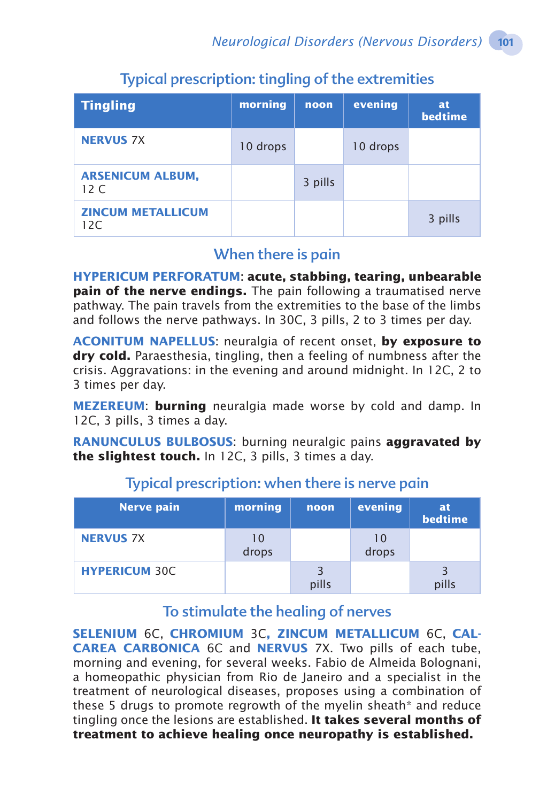| <b>Tingling</b>                 | morning  | noon    | evening  | <b>at</b><br><b>bedtime</b> |
|---------------------------------|----------|---------|----------|-----------------------------|
| <b>NERVUS 7X</b>                | 10 drops |         | 10 drops |                             |
| <b>ARSENICUM ALBUM,</b><br>12 C |          | 3 pills |          |                             |
| <b>ZINCUM METALLICUM</b><br>12C |          |         |          | 3 pills                     |

# Typical prescription: tingling of the extremities

### When there is pain

**Hypericum perforatum**: **acute, stabbing, tearing, unbearable pain of the nerve endings.** The pain following a traumatised nerve pathway. The pain travels from the extremities to the base of the limbs and follows the nerve pathways. In 30C, 3 pills, 2 to 3 times per day.

**Aconitum napellus**: neuralgia of recent onset, **by exposure to dry cold.** Paraesthesia, tingling, then a feeling of numbness after the crisis. Aggravations: in the evening and around midnight. In 12C, 2 to 3 times per day.

**MEZEREUM: burning** neuralgia made worse by cold and damp. In 12C, 3 pills, 3 times a day.

**RANUNCULUS BULBOSUS:** burning neuralgic pains **aggravated by the slightest touch.** In 12C, 3 pills, 3 times a day.

| <b>Nerve pain</b>    | morning     | noon  | evening     | at<br>bedtime |
|----------------------|-------------|-------|-------------|---------------|
| <b>NERVUS 7X</b>     | 10<br>drops |       | 10<br>drops |               |
| <b>HYPERICUM 30C</b> |             | pills |             | 3<br>pills    |

# Typical prescription: when there is nerve pain

## To stimulate the healing of nerves

**Selenium** 6C, **Chromium** 3C**, Zincum metallicum** 6C, **Calcarea carbonica** 6C and **Nervus** 7X. Two pills of each tube, morning and evening, for several weeks. Fabio de Almeida Bolognani, a homeopathic physician from Rio de Janeiro and a specialist in the treatment of neurological diseases, proposes using a combination of these 5 drugs to promote regrowth of the myelin sheath\* and reduce tingling once the lesions are established. **It takes several months of treatment to achieve healing once neuropathy is established.**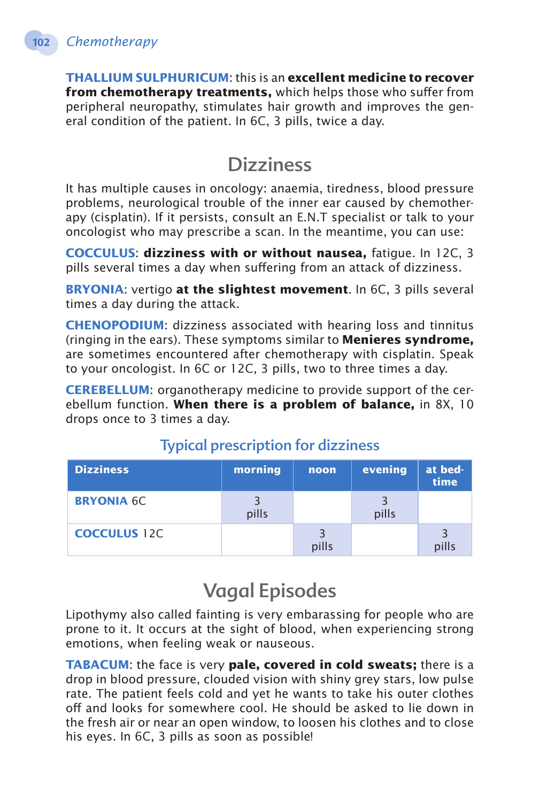**Thallium sulphuricum**: this is an **excellent medicine to recover from chemotherapy treatments,** which helps those who suffer from peripheral neuropathy, stimulates hair growth and improves the general condition of the patient. In 6C, 3 pills, twice a day.

# **Dizziness**

It has multiple causes in oncology: anaemia, tiredness, blood pressure problems, neurological trouble of the inner ear caused by chemotherapy (cisplatin). If it persists, consult an E.N.T specialist or talk to your oncologist who may prescribe a scan. In the meantime, you can use:

**Cocculus**: **dizziness with or without nausea,** fatigue. In 12C, 3 pills several times a day when suffering from an attack of dizziness.

**Bryonia**: vertigo **at the slightest movement**. In 6C, 3 pills several times a day during the attack.

**CHENOPODIUM:** dizziness associated with hearing loss and tinnitus (ringing in the ears). These symptoms similar to **Menieres syndrome,**  are sometimes encountered after chemotherapy with cisplatin. Speak to your oncologist. In 6C or 12C, 3 pills, two to three times a day.

**CEREBELLUM:** organotherapy medicine to provide support of the cerebellum function. **When there is a problem of balance,** in 8X, 10 drops once to 3 times a day.

| <b>Dizziness</b>    | morning | noon  | evening | at bed-<br>time |
|---------------------|---------|-------|---------|-----------------|
| <b>BRYONIA 6C</b>   | pills   |       | pills   |                 |
| <b>COCCULUS</b> 12C |         | pills |         | pills           |

# Typical prescription for dizziness

# Vagal Episodes

Lipothymy also called fainting is very embarassing for people who are prone to it. It occurs at the sight of blood, when experiencing strong emotions, when feeling weak or nauseous.

**TABACUM:** the face is very **pale, covered in cold sweats;** there is a drop in blood pressure, clouded vision with shiny grey stars, low pulse rate. The patient feels cold and yet he wants to take his outer clothes off and looks for somewhere cool. He should be asked to lie down in the fresh air or near an open window, to loosen his clothes and to close his eyes. In 6C, 3 pills as soon as possible!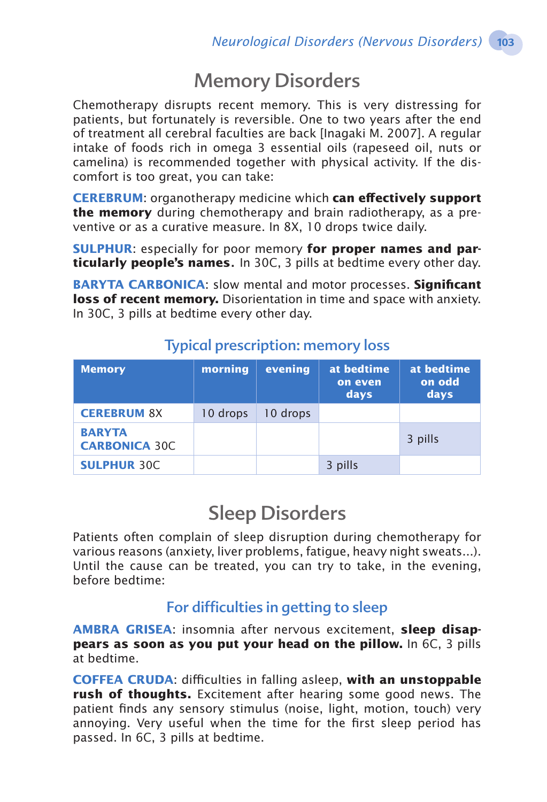# Memory Disorders

Chemotherapy disrupts recent memory. This is very distressing for patients, but fortunately is reversible. One to two years after the end of treatment all cerebral faculties are back [Inagaki M. 2007]. A regular intake of foods rich in omega 3 essential oils (rapeseed oil, nuts or camelina) is recommended together with physical activity. If the discomfort is too great, you can take:

**CEREBRUM:** organotherapy medicine which **can effectively support the memory** during chemotherapy and brain radiotherapy, as a preventive or as a curative measure. In 8X, 10 drops twice daily.

**SULPHUR:** especially for poor memory for proper names and par**ticularly people's names**. In 30C, 3 pills at bedtime every other day.

**Baryta carbonica**: slow mental and motor processes. **Significant loss of recent memory.** Disorientation in time and space with anxiety. In 30C, 3 pills at bedtime every other day.

| <b>Memory</b>                         | morning  | evening  | at bedtime<br>on even<br>days | at bedtime<br>on odd<br>days |
|---------------------------------------|----------|----------|-------------------------------|------------------------------|
| <b>CEREBRUM 8X</b>                    | 10 drops | 10 drops |                               |                              |
| <b>BARYTA</b><br><b>CARBONICA 30C</b> |          |          |                               | 3 pills                      |
| <b>SULPHUR 30C</b>                    |          |          | 3 pills                       |                              |

## Typical prescription: memory loss

# Sleep Disorders

Patients often complain of sleep disruption during chemotherapy for various reasons (anxiety, liver problems, fatigue, heavy night sweats...). Until the cause can be treated, you can try to take, in the evening, before bedtime:

## For difficulties in getting to sleep

**Ambra grisea**: insomnia after nervous excitement, **sleep disappears as soon as you put your head on the pillow.** In 6C, 3 pills at bedtime.

**Coffea cruda**: difficulties in falling asleep, **with an unstoppable rush of thoughts.** Excitement after hearing some good news. The patient finds any sensory stimulus (noise, light, motion, touch) very annoying. Very useful when the time for the first sleep period has passed. In 6C, 3 pills at bedtime.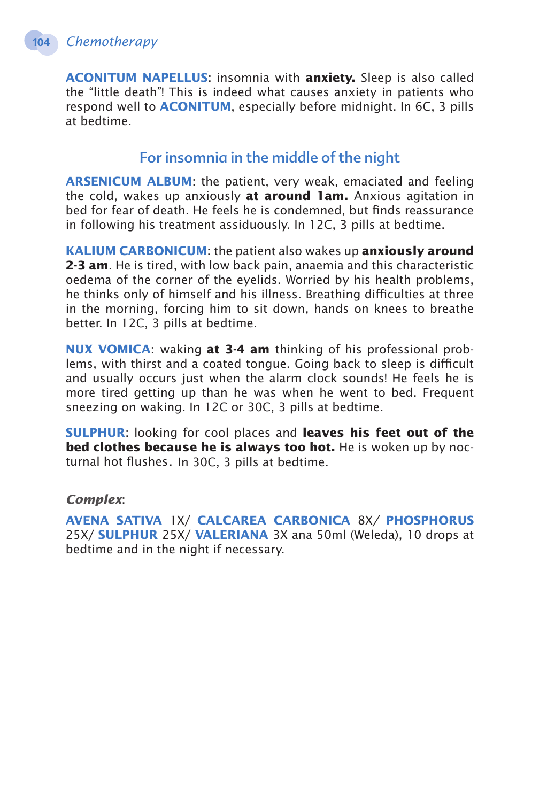**Aconitum napellus**: insomnia with **anxiety.** Sleep is also called the "little death"! This is indeed what causes anxiety in patients who respond well to **ACONITUM**, especially before midnight. In 6C, 3 pills at bedtime.

## For insomnia in the middle of the night

**Arsenicum album**: the patient, very weak, emaciated and feeling the cold, wakes up anxiously **at around 1am.** Anxious agitation in bed for fear of death. He feels he is condemned, but finds reassurance in following his treatment assiduously. In 12C, 3 pills at bedtime.

**Kalium carbonicum**: the patient also wakes up **anxiously around 2-3 am**. He is tired, with low back pain, anaemia and this characteristic oedema of the corner of the eyelids. Worried by his health problems, he thinks only of himself and his illness. Breathing difficulties at three in the morning, forcing him to sit down, hands on knees to breathe better. In 12C, 3 pills at bedtime.

**Nux vomica**: waking **at 3-4 am** thinking of his professional problems, with thirst and a coated tongue. Going back to sleep is difficult and usually occurs just when the alarm clock sounds! He feels he is more tired getting up than he was when he went to bed. Frequent sneezing on waking. In 12C or 30C, 3 pills at bedtime.

**Sulphur**: looking for cool places and **leaves his feet out of the bed clothes because he is always too hot.** He is woken up by nocturnal hot flushes. In 30C, 3 pills at bedtime.

*Complex*:

**Avena sativa** 1X/ **Calcarea Carbonica** 8X*/* **Phosphorus** 25X/ **Sulphur** 25X/ **Valeriana** 3X ana 50ml (Weleda), 10 drops at bedtime and in the night if necessary.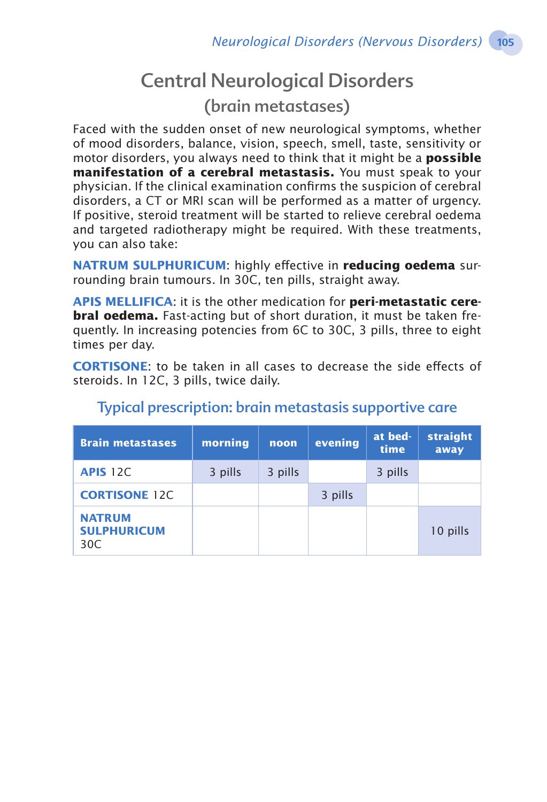# Central Neurological Disorders

(brain metastases)

Faced with the sudden onset of new neurological symptoms, whether of mood disorders, balance, vision, speech, smell, taste, sensitivity or motor disorders, you always need to think that it might be a **possible manifestation of a cerebral metastasis.** You must speak to your physician. If the clinical examination confirms the suspicion of cerebral disorders, a CT or MRI scan will be performed as a matter of urgency. If positive, steroid treatment will be started to relieve cerebral oedema and targeted radiotherapy might be required. With these treatments, you can also take:

**Natrum sulphuricum**: highly effective in **reducing oedema** surrounding brain tumours. In 30C, ten pills, straight away.

**Apis mellifica**: it is the other medication for **peri-metastatic cerebral oedema.** Fast-acting but of short duration, it must be taken frequently. In increasing potencies from 6C to 30C, 3 pills, three to eight times per day.

**CORTISONE:** to be taken in all cases to decrease the side effects of steroids. In 12C, 3 pills, twice daily.

| <b>Brain metastases</b>                    | morning | noon    | evening | at bed-<br>time | <b>straight</b><br>away |
|--------------------------------------------|---------|---------|---------|-----------------|-------------------------|
| <b>APIS 12C</b>                            | 3 pills | 3 pills |         | 3 pills         |                         |
| <b>CORTISONE 12C</b>                       |         |         | 3 pills |                 |                         |
| <b>NATRUM</b><br><b>SULPHURICUM</b><br>30C |         |         |         |                 | 10 pills                |

## Typical prescription: brain metastasis supportive care